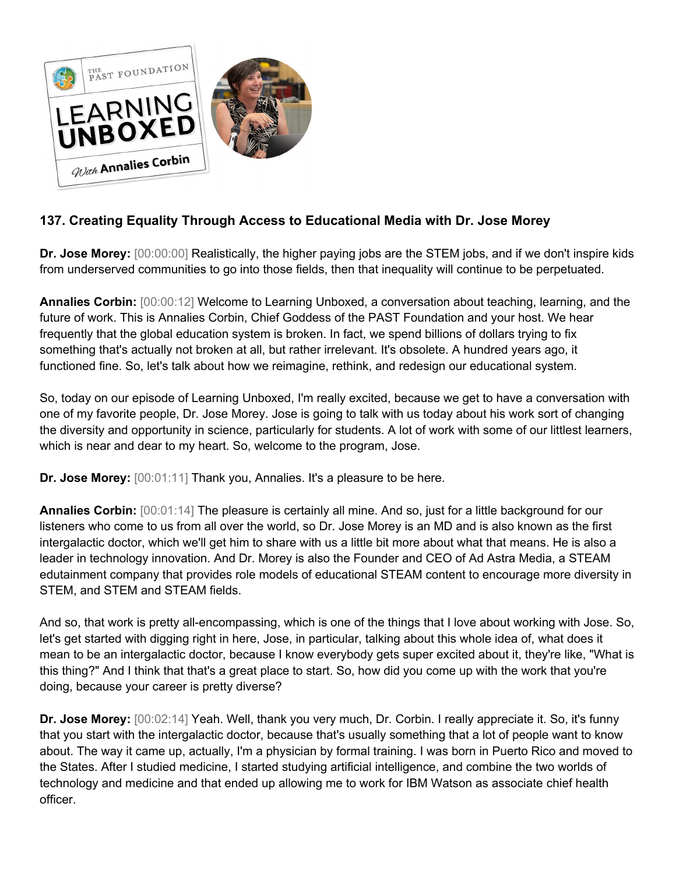

## **137. Creating Equality Through Access to Educational Media with Dr. Jose Morey**

**Dr. Jose Morey:** [00:00:00] Realistically, the higher paying jobs are the STEM jobs, and if we don't inspire kids from underserved communities to go into those fields, then that inequality will continue to be perpetuated.

**Annalies Corbin:** [00:00:12] Welcome to Learning Unboxed, a conversation about teaching, learning, and the future of work. This is Annalies Corbin, Chief Goddess of the PAST Foundation and your host. We hear frequently that the global education system is broken. In fact, we spend billions of dollars trying to fix something that's actually not broken at all, but rather irrelevant. It's obsolete. A hundred years ago, it functioned fine. So, let's talk about how we reimagine, rethink, and redesign our educational system.

So, today on our episode of Learning Unboxed, I'm really excited, because we get to have a conversation with one of my favorite people, Dr. Jose Morey. Jose is going to talk with us today about his work sort of changing the diversity and opportunity in science, particularly for students. A lot of work with some of our littlest learners, which is near and dear to my heart. So, welcome to the program, Jose.

**Dr. Jose Morey:** [00:01:11] Thank you, Annalies. It's a pleasure to be here.

**Annalies Corbin:** [00:01:14] The pleasure is certainly all mine. And so, just for a little background for our listeners who come to us from all over the world, so Dr. Jose Morey is an MD and is also known as the first intergalactic doctor, which we'll get him to share with us a little bit more about what that means. He is also a leader in technology innovation. And Dr. Morey is also the Founder and CEO of Ad Astra Media, a STEAM edutainment company that provides role models of educational STEAM content to encourage more diversity in STEM, and STEM and STEAM fields.

And so, that work is pretty all-encompassing, which is one of the things that I love about working with Jose. So, let's get started with digging right in here, Jose, in particular, talking about this whole idea of, what does it mean to be an intergalactic doctor, because I know everybody gets super excited about it, they're like, "What is this thing?" And I think that that's a great place to start. So, how did you come up with the work that you're doing, because your career is pretty diverse?

**Dr. Jose Morey:** [00:02:14] Yeah. Well, thank you very much, Dr. Corbin. I really appreciate it. So, it's funny that you start with the intergalactic doctor, because that's usually something that a lot of people want to know about. The way it came up, actually, I'm a physician by formal training. I was born in Puerto Rico and moved to the States. After I studied medicine, I started studying artificial intelligence, and combine the two worlds of technology and medicine and that ended up allowing me to work for IBM Watson as associate chief health officer.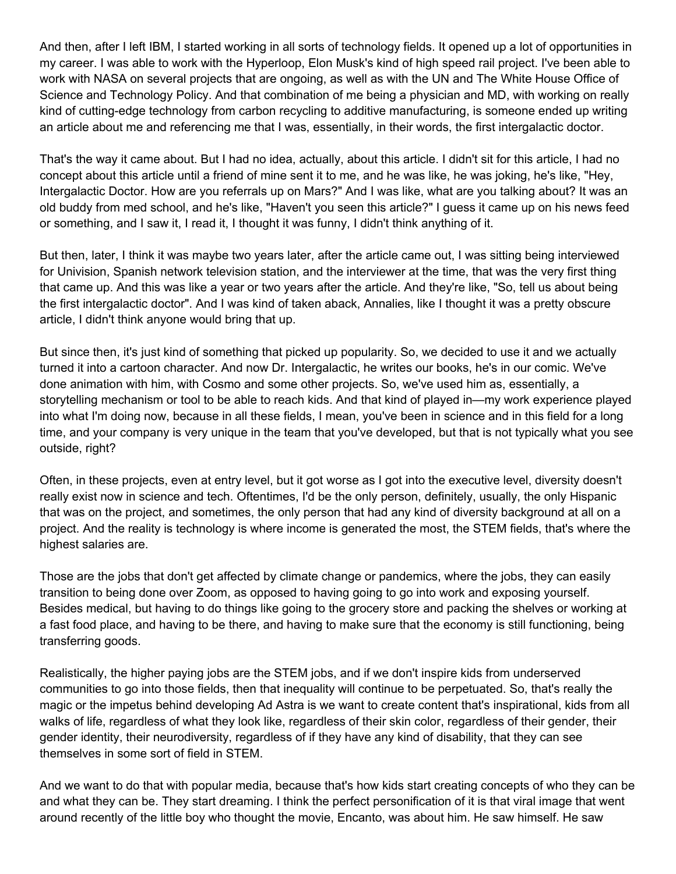And then, after I left IBM, I started working in all sorts of technology fields. It opened up a lot of opportunities in my career. I was able to work with the Hyperloop, Elon Musk's kind of high speed rail project. I've been able to work with NASA on several projects that are ongoing, as well as with the UN and The White House Office of Science and Technology Policy. And that combination of me being a physician and MD, with working on really kind of cutting-edge technology from carbon recycling to additive manufacturing, is someone ended up writing an article about me and referencing me that I was, essentially, in their words, the first intergalactic doctor.

That's the way it came about. But I had no idea, actually, about this article. I didn't sit for this article, I had no concept about this article until a friend of mine sent it to me, and he was like, he was joking, he's like, "Hey, Intergalactic Doctor. How are you referrals up on Mars?" And I was like, what are you talking about? It was an old buddy from med school, and he's like, "Haven't you seen this article?" I guess it came up on his news feed or something, and I saw it, I read it, I thought it was funny, I didn't think anything of it.

But then, later, I think it was maybe two years later, after the article came out, I was sitting being interviewed for Univision, Spanish network television station, and the interviewer at the time, that was the very first thing that came up. And this was like a year or two years after the article. And they're like, "So, tell us about being the first intergalactic doctor". And I was kind of taken aback, Annalies, like I thought it was a pretty obscure article, I didn't think anyone would bring that up.

But since then, it's just kind of something that picked up popularity. So, we decided to use it and we actually turned it into a cartoon character. And now Dr. Intergalactic, he writes our books, he's in our comic. We've done animation with him, with Cosmo and some other projects. So, we've used him as, essentially, a storytelling mechanism or tool to be able to reach kids. And that kind of played in—my work experience played into what I'm doing now, because in all these fields, I mean, you've been in science and in this field for a long time, and your company is very unique in the team that you've developed, but that is not typically what you see outside, right?

Often, in these projects, even at entry level, but it got worse as I got into the executive level, diversity doesn't really exist now in science and tech. Oftentimes, I'd be the only person, definitely, usually, the only Hispanic that was on the project, and sometimes, the only person that had any kind of diversity background at all on a project. And the reality is technology is where income is generated the most, the STEM fields, that's where the highest salaries are.

Those are the jobs that don't get affected by climate change or pandemics, where the jobs, they can easily transition to being done over Zoom, as opposed to having going to go into work and exposing yourself. Besides medical, but having to do things like going to the grocery store and packing the shelves or working at a fast food place, and having to be there, and having to make sure that the economy is still functioning, being transferring goods.

Realistically, the higher paying jobs are the STEM jobs, and if we don't inspire kids from underserved communities to go into those fields, then that inequality will continue to be perpetuated. So, that's really the magic or the impetus behind developing Ad Astra is we want to create content that's inspirational, kids from all walks of life, regardless of what they look like, regardless of their skin color, regardless of their gender, their gender identity, their neurodiversity, regardless of if they have any kind of disability, that they can see themselves in some sort of field in STEM.

And we want to do that with popular media, because that's how kids start creating concepts of who they can be and what they can be. They start dreaming. I think the perfect personification of it is that viral image that went around recently of the little boy who thought the movie, Encanto, was about him. He saw himself. He saw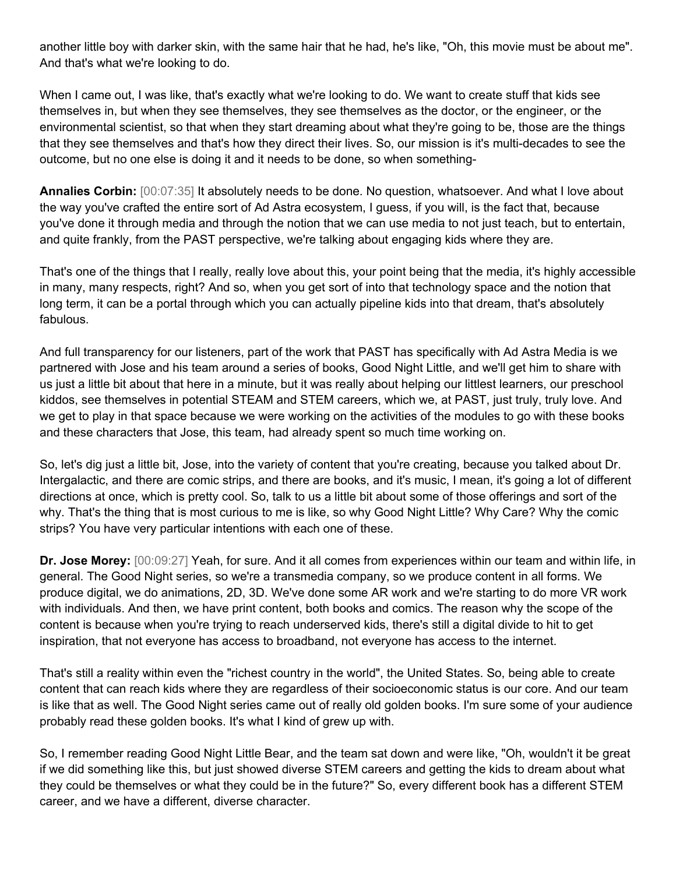another little boy with darker skin, with the same hair that he had, he's like, "Oh, this movie must be about me". And that's what we're looking to do.

When I came out, I was like, that's exactly what we're looking to do. We want to create stuff that kids see themselves in, but when they see themselves, they see themselves as the doctor, or the engineer, or the environmental scientist, so that when they start dreaming about what they're going to be, those are the things that they see themselves and that's how they direct their lives. So, our mission is it's multi-decades to see the outcome, but no one else is doing it and it needs to be done, so when something-

**Annalies Corbin:** [00:07:35] It absolutely needs to be done. No question, whatsoever. And what I love about the way you've crafted the entire sort of Ad Astra ecosystem, I guess, if you will, is the fact that, because you've done it through media and through the notion that we can use media to not just teach, but to entertain, and quite frankly, from the PAST perspective, we're talking about engaging kids where they are.

That's one of the things that I really, really love about this, your point being that the media, it's highly accessible in many, many respects, right? And so, when you get sort of into that technology space and the notion that long term, it can be a portal through which you can actually pipeline kids into that dream, that's absolutely fabulous.

And full transparency for our listeners, part of the work that PAST has specifically with Ad Astra Media is we partnered with Jose and his team around a series of books, Good Night Little, and we'll get him to share with us just a little bit about that here in a minute, but it was really about helping our littlest learners, our preschool kiddos, see themselves in potential STEAM and STEM careers, which we, at PAST, just truly, truly love. And we get to play in that space because we were working on the activities of the modules to go with these books and these characters that Jose, this team, had already spent so much time working on.

So, let's dig just a little bit, Jose, into the variety of content that you're creating, because you talked about Dr. Intergalactic, and there are comic strips, and there are books, and it's music, I mean, it's going a lot of different directions at once, which is pretty cool. So, talk to us a little bit about some of those offerings and sort of the why. That's the thing that is most curious to me is like, so why Good Night Little? Why Care? Why the comic strips? You have very particular intentions with each one of these.

**Dr. Jose Morey:** [00:09:27] Yeah, for sure. And it all comes from experiences within our team and within life, in general. The Good Night series, so we're a transmedia company, so we produce content in all forms. We produce digital, we do animations, 2D, 3D. We've done some AR work and we're starting to do more VR work with individuals. And then, we have print content, both books and comics. The reason why the scope of the content is because when you're trying to reach underserved kids, there's still a digital divide to hit to get inspiration, that not everyone has access to broadband, not everyone has access to the internet.

That's still a reality within even the "richest country in the world", the United States. So, being able to create content that can reach kids where they are regardless of their socioeconomic status is our core. And our team is like that as well. The Good Night series came out of really old golden books. I'm sure some of your audience probably read these golden books. It's what I kind of grew up with.

So, I remember reading Good Night Little Bear, and the team sat down and were like, "Oh, wouldn't it be great if we did something like this, but just showed diverse STEM careers and getting the kids to dream about what they could be themselves or what they could be in the future?" So, every different book has a different STEM career, and we have a different, diverse character.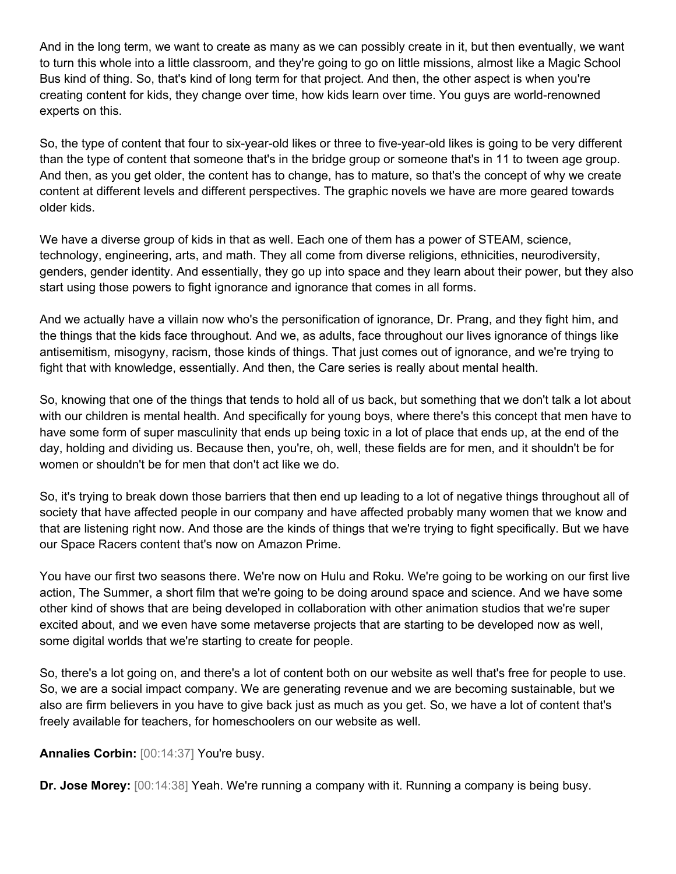And in the long term, we want to create as many as we can possibly create in it, but then eventually, we want to turn this whole into a little classroom, and they're going to go on little missions, almost like a Magic School Bus kind of thing. So, that's kind of long term for that project. And then, the other aspect is when you're creating content for kids, they change over time, how kids learn over time. You guys are world-renowned experts on this.

So, the type of content that four to six-year-old likes or three to five-year-old likes is going to be very different than the type of content that someone that's in the bridge group or someone that's in 11 to tween age group. And then, as you get older, the content has to change, has to mature, so that's the concept of why we create content at different levels and different perspectives. The graphic novels we have are more geared towards older kids.

We have a diverse group of kids in that as well. Each one of them has a power of STEAM, science, technology, engineering, arts, and math. They all come from diverse religions, ethnicities, neurodiversity, genders, gender identity. And essentially, they go up into space and they learn about their power, but they also start using those powers to fight ignorance and ignorance that comes in all forms.

And we actually have a villain now who's the personification of ignorance, Dr. Prang, and they fight him, and the things that the kids face throughout. And we, as adults, face throughout our lives ignorance of things like antisemitism, misogyny, racism, those kinds of things. That just comes out of ignorance, and we're trying to fight that with knowledge, essentially. And then, the Care series is really about mental health.

So, knowing that one of the things that tends to hold all of us back, but something that we don't talk a lot about with our children is mental health. And specifically for young boys, where there's this concept that men have to have some form of super masculinity that ends up being toxic in a lot of place that ends up, at the end of the day, holding and dividing us. Because then, you're, oh, well, these fields are for men, and it shouldn't be for women or shouldn't be for men that don't act like we do.

So, it's trying to break down those barriers that then end up leading to a lot of negative things throughout all of society that have affected people in our company and have affected probably many women that we know and that are listening right now. And those are the kinds of things that we're trying to fight specifically. But we have our Space Racers content that's now on Amazon Prime.

You have our first two seasons there. We're now on Hulu and Roku. We're going to be working on our first live action, The Summer, a short film that we're going to be doing around space and science. And we have some other kind of shows that are being developed in collaboration with other animation studios that we're super excited about, and we even have some metaverse projects that are starting to be developed now as well, some digital worlds that we're starting to create for people.

So, there's a lot going on, and there's a lot of content both on our website as well that's free for people to use. So, we are a social impact company. We are generating revenue and we are becoming sustainable, but we also are firm believers in you have to give back just as much as you get. So, we have a lot of content that's freely available for teachers, for homeschoolers on our website as well.

**Annalies Corbin:** [00:14:37] You're busy.

**Dr. Jose Morey:** [00:14:38] Yeah. We're running a company with it. Running a company is being busy.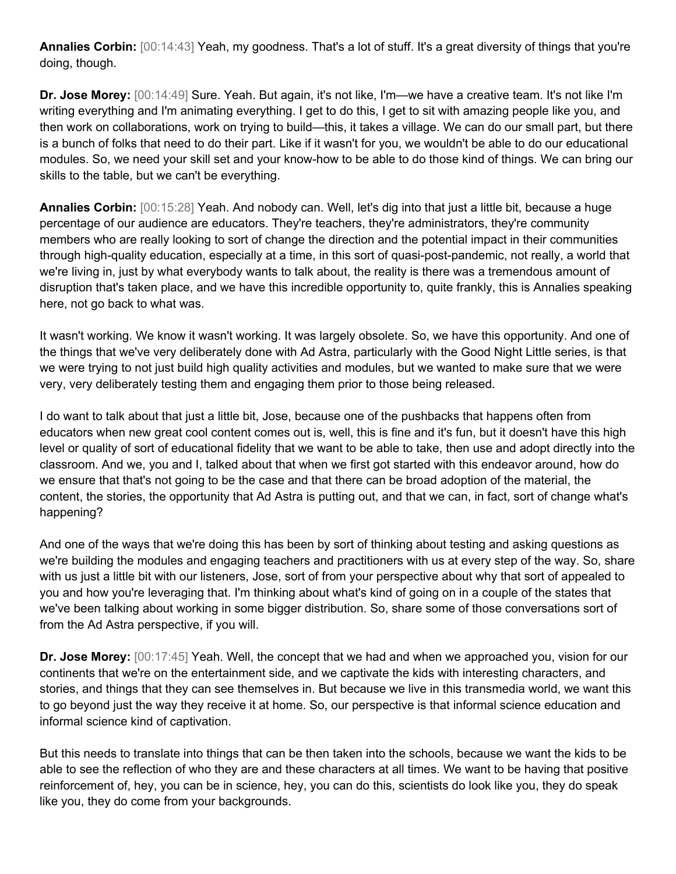**Annalies Corbin:** [00:14:43] Yeah, my goodness. That's a lot of stuff. It's a great diversity of things that you're doing, though.

**Dr. Jose Morey:** [00:14:49] Sure. Yeah. But again, it's not like, I'm—we have a creative team. It's not like I'm writing everything and I'm animating everything. I get to do this, I get to sit with amazing people like you, and then work on collaborations, work on trying to build—this, it takes a village. We can do our small part, but there is a bunch of folks that need to do their part. Like if it wasn't for you, we wouldn't be able to do our educational modules. So, we need your skill set and your know-how to be able to do those kind of things. We can bring our skills to the table, but we can't be everything.

**Annalies Corbin:** [00:15:28] Yeah. And nobody can. Well, let's dig into that just a little bit, because a huge percentage of our audience are educators. They're teachers, they're administrators, they're community members who are really looking to sort of change the direction and the potential impact in their communities through high-quality education, especially at a time, in this sort of quasi-post-pandemic, not really, a world that we're living in, just by what everybody wants to talk about, the reality is there was a tremendous amount of disruption that's taken place, and we have this incredible opportunity to, quite frankly, this is Annalies speaking here, not go back to what was.

It wasn't working. We know it wasn't working. It was largely obsolete. So, we have this opportunity. And one of the things that we've very deliberately done with Ad Astra, particularly with the Good Night Little series, is that we were trying to not just build high quality activities and modules, but we wanted to make sure that we were very, very deliberately testing them and engaging them prior to those being released.

I do want to talk about that just a little bit, Jose, because one of the pushbacks that happens often from educators when new great cool content comes out is, well, this is fine and it's fun, but it doesn't have this high level or quality of sort of educational fidelity that we want to be able to take, then use and adopt directly into the classroom. And we, you and I, talked about that when we first got started with this endeavor around, how do we ensure that that's not going to be the case and that there can be broad adoption of the material, the content, the stories, the opportunity that Ad Astra is putting out, and that we can, in fact, sort of change what's happening?

And one of the ways that we're doing this has been by sort of thinking about testing and asking questions as we're building the modules and engaging teachers and practitioners with us at every step of the way. So, share with us just a little bit with our listeners, Jose, sort of from your perspective about why that sort of appealed to you and how you're leveraging that. I'm thinking about what's kind of going on in a couple of the states that we've been talking about working in some bigger distribution. So, share some of those conversations sort of from the Ad Astra perspective, if you will.

**Dr. Jose Morey:** [00:17:45] Yeah. Well, the concept that we had and when we approached you, vision for our continents that we're on the entertainment side, and we captivate the kids with interesting characters, and stories, and things that they can see themselves in. But because we live in this transmedia world, we want this to go beyond just the way they receive it at home. So, our perspective is that informal science education and informal science kind of captivation.

But this needs to translate into things that can be then taken into the schools, because we want the kids to be able to see the reflection of who they are and these characters at all times. We want to be having that positive reinforcement of, hey, you can be in science, hey, you can do this, scientists do look like you, they do speak like you, they do come from your backgrounds.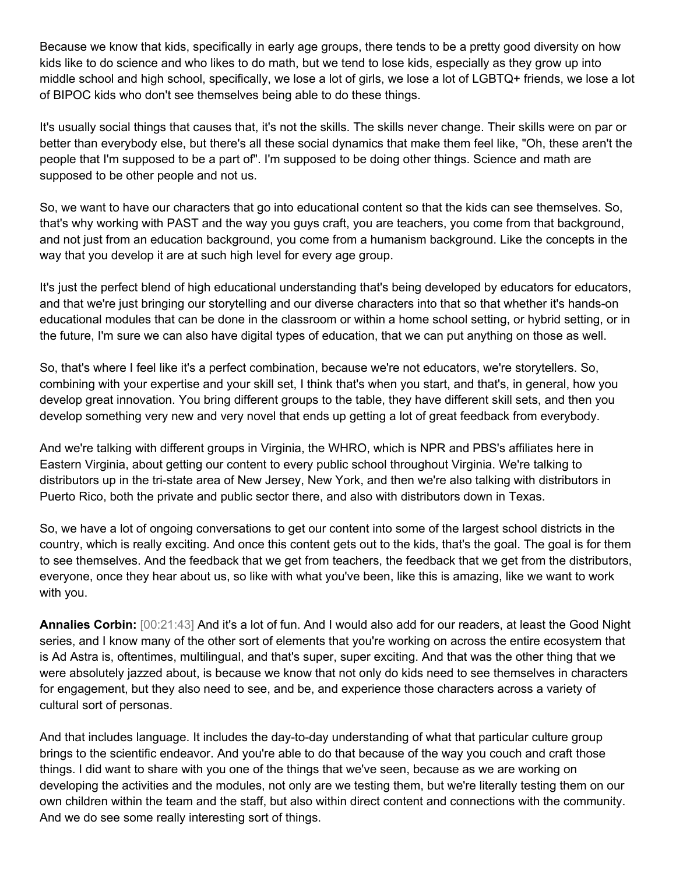Because we know that kids, specifically in early age groups, there tends to be a pretty good diversity on how kids like to do science and who likes to do math, but we tend to lose kids, especially as they grow up into middle school and high school, specifically, we lose a lot of girls, we lose a lot of LGBTQ+ friends, we lose a lot of BIPOC kids who don't see themselves being able to do these things.

It's usually social things that causes that, it's not the skills. The skills never change. Their skills were on par or better than everybody else, but there's all these social dynamics that make them feel like, "Oh, these aren't the people that I'm supposed to be a part of". I'm supposed to be doing other things. Science and math are supposed to be other people and not us.

So, we want to have our characters that go into educational content so that the kids can see themselves. So, that's why working with PAST and the way you guys craft, you are teachers, you come from that background, and not just from an education background, you come from a humanism background. Like the concepts in the way that you develop it are at such high level for every age group.

It's just the perfect blend of high educational understanding that's being developed by educators for educators, and that we're just bringing our storytelling and our diverse characters into that so that whether it's hands-on educational modules that can be done in the classroom or within a home school setting, or hybrid setting, or in the future, I'm sure we can also have digital types of education, that we can put anything on those as well.

So, that's where I feel like it's a perfect combination, because we're not educators, we're storytellers. So, combining with your expertise and your skill set, I think that's when you start, and that's, in general, how you develop great innovation. You bring different groups to the table, they have different skill sets, and then you develop something very new and very novel that ends up getting a lot of great feedback from everybody.

And we're talking with different groups in Virginia, the WHRO, which is NPR and PBS's affiliates here in Eastern Virginia, about getting our content to every public school throughout Virginia. We're talking to distributors up in the tri-state area of New Jersey, New York, and then we're also talking with distributors in Puerto Rico, both the private and public sector there, and also with distributors down in Texas.

So, we have a lot of ongoing conversations to get our content into some of the largest school districts in the country, which is really exciting. And once this content gets out to the kids, that's the goal. The goal is for them to see themselves. And the feedback that we get from teachers, the feedback that we get from the distributors, everyone, once they hear about us, so like with what you've been, like this is amazing, like we want to work with you.

**Annalies Corbin:** [00:21:43] And it's a lot of fun. And I would also add for our readers, at least the Good Night series, and I know many of the other sort of elements that you're working on across the entire ecosystem that is Ad Astra is, oftentimes, multilingual, and that's super, super exciting. And that was the other thing that we were absolutely jazzed about, is because we know that not only do kids need to see themselves in characters for engagement, but they also need to see, and be, and experience those characters across a variety of cultural sort of personas.

And that includes language. It includes the day-to-day understanding of what that particular culture group brings to the scientific endeavor. And you're able to do that because of the way you couch and craft those things. I did want to share with you one of the things that we've seen, because as we are working on developing the activities and the modules, not only are we testing them, but we're literally testing them on our own children within the team and the staff, but also within direct content and connections with the community. And we do see some really interesting sort of things.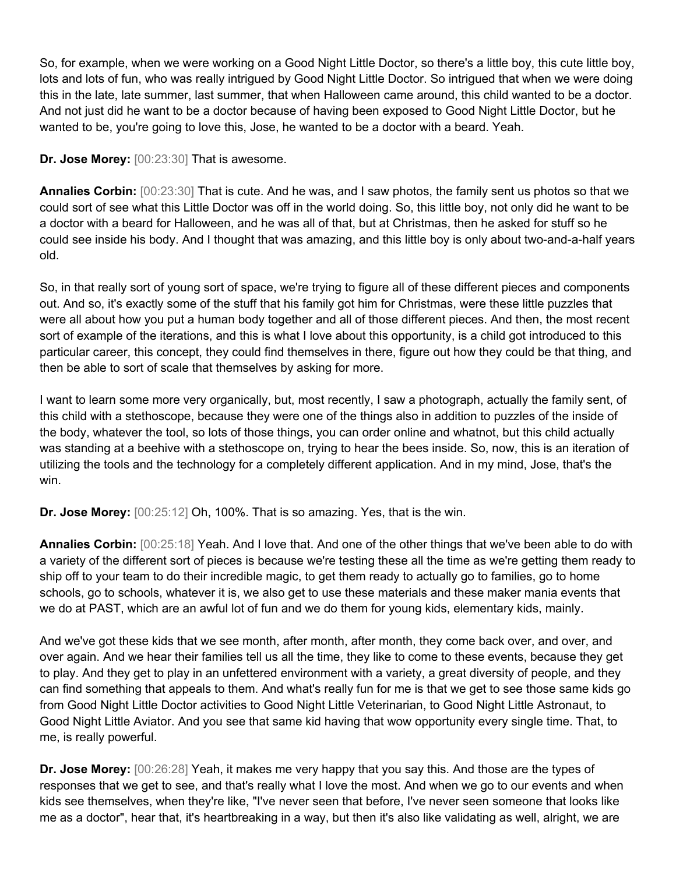So, for example, when we were working on a Good Night Little Doctor, so there's a little boy, this cute little boy, lots and lots of fun, who was really intrigued by Good Night Little Doctor. So intrigued that when we were doing this in the late, late summer, last summer, that when Halloween came around, this child wanted to be a doctor. And not just did he want to be a doctor because of having been exposed to Good Night Little Doctor, but he wanted to be, you're going to love this, Jose, he wanted to be a doctor with a beard. Yeah.

**Dr. Jose Morey:** [00:23:30] That is awesome.

**Annalies Corbin:** [00:23:30] That is cute. And he was, and I saw photos, the family sent us photos so that we could sort of see what this Little Doctor was off in the world doing. So, this little boy, not only did he want to be a doctor with a beard for Halloween, and he was all of that, but at Christmas, then he asked for stuff so he could see inside his body. And I thought that was amazing, and this little boy is only about two-and-a-half years old.

So, in that really sort of young sort of space, we're trying to figure all of these different pieces and components out. And so, it's exactly some of the stuff that his family got him for Christmas, were these little puzzles that were all about how you put a human body together and all of those different pieces. And then, the most recent sort of example of the iterations, and this is what I love about this opportunity, is a child got introduced to this particular career, this concept, they could find themselves in there, figure out how they could be that thing, and then be able to sort of scale that themselves by asking for more.

I want to learn some more very organically, but, most recently, I saw a photograph, actually the family sent, of this child with a stethoscope, because they were one of the things also in addition to puzzles of the inside of the body, whatever the tool, so lots of those things, you can order online and whatnot, but this child actually was standing at a beehive with a stethoscope on, trying to hear the bees inside. So, now, this is an iteration of utilizing the tools and the technology for a completely different application. And in my mind, Jose, that's the win.

**Dr. Jose Morey:** [00:25:12] Oh, 100%. That is so amazing. Yes, that is the win.

**Annalies Corbin:** [00:25:18] Yeah. And I love that. And one of the other things that we've been able to do with a variety of the different sort of pieces is because we're testing these all the time as we're getting them ready to ship off to your team to do their incredible magic, to get them ready to actually go to families, go to home schools, go to schools, whatever it is, we also get to use these materials and these maker mania events that we do at PAST, which are an awful lot of fun and we do them for young kids, elementary kids, mainly.

And we've got these kids that we see month, after month, after month, they come back over, and over, and over again. And we hear their families tell us all the time, they like to come to these events, because they get to play. And they get to play in an unfettered environment with a variety, a great diversity of people, and they can find something that appeals to them. And what's really fun for me is that we get to see those same kids go from Good Night Little Doctor activities to Good Night Little Veterinarian, to Good Night Little Astronaut, to Good Night Little Aviator. And you see that same kid having that wow opportunity every single time. That, to me, is really powerful.

**Dr. Jose Morey:** [00:26:28] Yeah, it makes me very happy that you say this. And those are the types of responses that we get to see, and that's really what I love the most. And when we go to our events and when kids see themselves, when they're like, "I've never seen that before, I've never seen someone that looks like me as a doctor", hear that, it's heartbreaking in a way, but then it's also like validating as well, alright, we are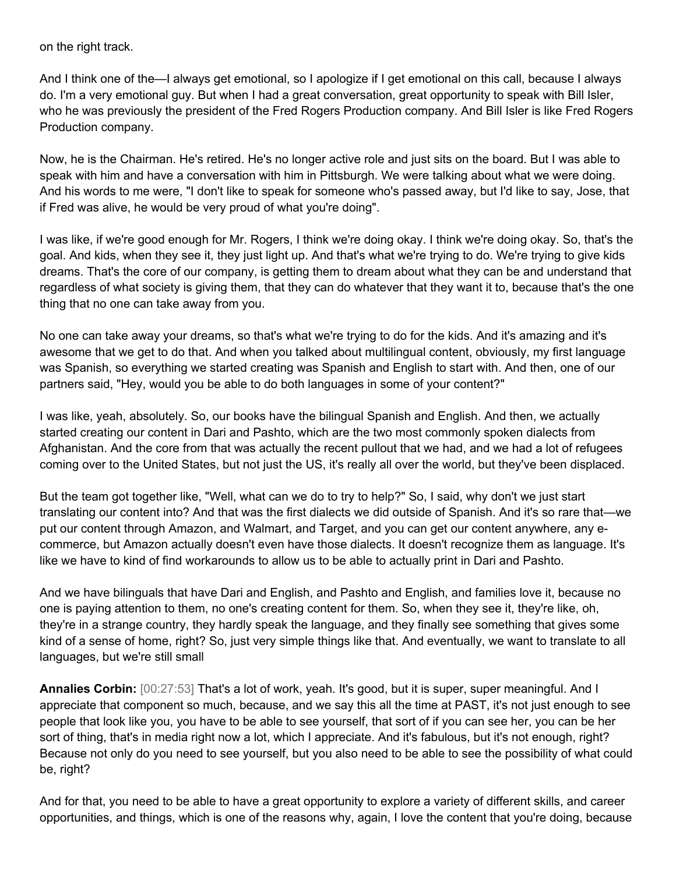on the right track.

And I think one of the—I always get emotional, so I apologize if I get emotional on this call, because I always do. I'm a very emotional guy. But when I had a great conversation, great opportunity to speak with Bill Isler, who he was previously the president of the Fred Rogers Production company. And Bill Isler is like Fred Rogers Production company.

Now, he is the Chairman. He's retired. He's no longer active role and just sits on the board. But I was able to speak with him and have a conversation with him in Pittsburgh. We were talking about what we were doing. And his words to me were, "I don't like to speak for someone who's passed away, but I'd like to say, Jose, that if Fred was alive, he would be very proud of what you're doing".

I was like, if we're good enough for Mr. Rogers, I think we're doing okay. I think we're doing okay. So, that's the goal. And kids, when they see it, they just light up. And that's what we're trying to do. We're trying to give kids dreams. That's the core of our company, is getting them to dream about what they can be and understand that regardless of what society is giving them, that they can do whatever that they want it to, because that's the one thing that no one can take away from you.

No one can take away your dreams, so that's what we're trying to do for the kids. And it's amazing and it's awesome that we get to do that. And when you talked about multilingual content, obviously, my first language was Spanish, so everything we started creating was Spanish and English to start with. And then, one of our partners said, "Hey, would you be able to do both languages in some of your content?"

I was like, yeah, absolutely. So, our books have the bilingual Spanish and English. And then, we actually started creating our content in Dari and Pashto, which are the two most commonly spoken dialects from Afghanistan. And the core from that was actually the recent pullout that we had, and we had a lot of refugees coming over to the United States, but not just the US, it's really all over the world, but they've been displaced.

But the team got together like, "Well, what can we do to try to help?" So, I said, why don't we just start translating our content into? And that was the first dialects we did outside of Spanish. And it's so rare that—we put our content through Amazon, and Walmart, and Target, and you can get our content anywhere, any ecommerce, but Amazon actually doesn't even have those dialects. It doesn't recognize them as language. It's like we have to kind of find workarounds to allow us to be able to actually print in Dari and Pashto.

And we have bilinguals that have Dari and English, and Pashto and English, and families love it, because no one is paying attention to them, no one's creating content for them. So, when they see it, they're like, oh, they're in a strange country, they hardly speak the language, and they finally see something that gives some kind of a sense of home, right? So, just very simple things like that. And eventually, we want to translate to all languages, but we're still small

**Annalies Corbin:** [00:27:53] That's a lot of work, yeah. It's good, but it is super, super meaningful. And I appreciate that component so much, because, and we say this all the time at PAST, it's not just enough to see people that look like you, you have to be able to see yourself, that sort of if you can see her, you can be her sort of thing, that's in media right now a lot, which I appreciate. And it's fabulous, but it's not enough, right? Because not only do you need to see yourself, but you also need to be able to see the possibility of what could be, right?

And for that, you need to be able to have a great opportunity to explore a variety of different skills, and career opportunities, and things, which is one of the reasons why, again, I love the content that you're doing, because